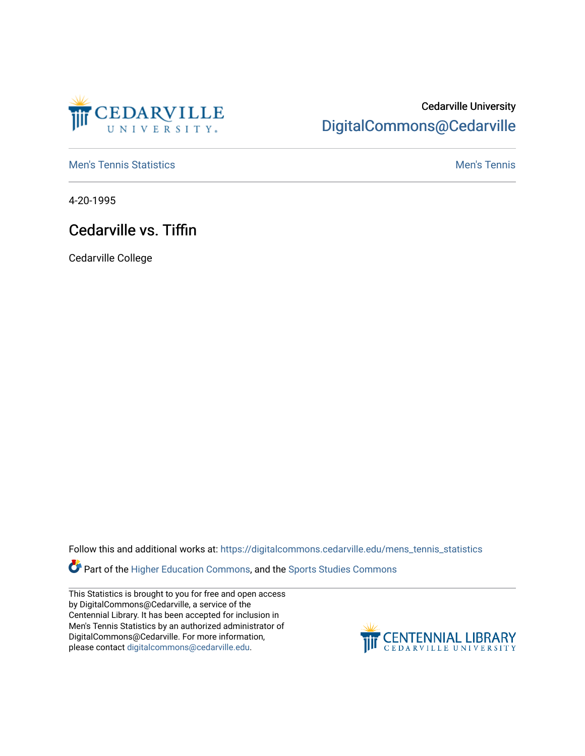

## Cedarville University [DigitalCommons@Cedarville](https://digitalcommons.cedarville.edu/)

**[Men's Tennis Statistics](https://digitalcommons.cedarville.edu/mens_tennis_statistics) Mental According to the Control of Control According Mental Men's Tennis** 

4-20-1995

## Cedarville vs. Tiffin

Cedarville College

Follow this and additional works at: [https://digitalcommons.cedarville.edu/mens\\_tennis\\_statistics](https://digitalcommons.cedarville.edu/mens_tennis_statistics?utm_source=digitalcommons.cedarville.edu%2Fmens_tennis_statistics%2F337&utm_medium=PDF&utm_campaign=PDFCoverPages)

Part of the [Higher Education Commons,](http://network.bepress.com/hgg/discipline/1245?utm_source=digitalcommons.cedarville.edu%2Fmens_tennis_statistics%2F337&utm_medium=PDF&utm_campaign=PDFCoverPages) and the [Sports Studies Commons](http://network.bepress.com/hgg/discipline/1198?utm_source=digitalcommons.cedarville.edu%2Fmens_tennis_statistics%2F337&utm_medium=PDF&utm_campaign=PDFCoverPages) 

This Statistics is brought to you for free and open access by DigitalCommons@Cedarville, a service of the Centennial Library. It has been accepted for inclusion in Men's Tennis Statistics by an authorized administrator of DigitalCommons@Cedarville. For more information, please contact [digitalcommons@cedarville.edu](mailto:digitalcommons@cedarville.edu).